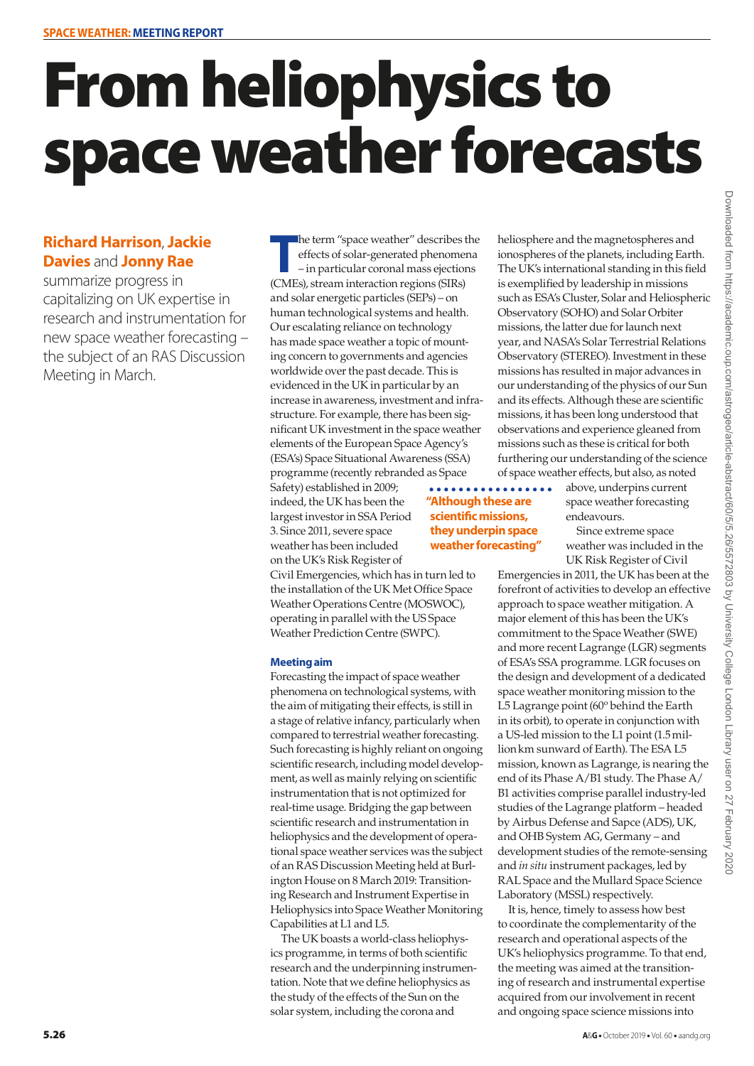# From heliophysics to space weather forecasts

### **Richard Harrison**, **Jackie Davies** and **Jonny Rae**

summarize progress in capitalizing on UK expertise in research and instrumentation for new space weather forecasting – the subject of an RAS Discussion Meeting in March.

**The term "space weather" describes the effects of solar-generated phenoment – in particular coronal mass ejection (CMEs), stream interaction regions (SIRs)** he term "space weather" describes the effects of solar-generated phenomena – in particular coronal mass ejections and solar energetic particles (SEPs) – on human technological systems and health. Our escalating reliance on technology has made space weather a topic of mounting concern to governments and agencies worldwide over the past decade. This is evidenced in the UK in particular by an increase in awareness, investment and infrastructure. For example, there has been significant UK investment in the space weather elements of the European Space Agency's (ESA's) Space Situational Awareness (SSA) programme (recently rebranded as Space

Safety) established in 2009; indeed, the UK has been the largest investor in SSA Period 3. Since 2011, severe space weather has been included on the UK's Risk Register of

**"Although these are scientific missions, they underpin space weather forecasting"**

Civil Emergencies, which has in turn led to the installation of the UK Met Office Space Weather Operations Centre (MOSWOC), operating in parallel with the US Space Weather Prediction Centre (SWPC).

#### **Meeting aim**

Forecasting the impact of space weather phenomena on technological systems, with the aim of mitigating their effects, is still in a stage of relative infancy, particularly when compared to terrestrial weather forecasting. Such forecasting is highly reliant on ongoing scientific research, including model development, as well as mainly relying on scientific instrumentation that is not optimized for real-time usage. Bridging the gap between scientific research and instrumentation in heliophysics and the development of operational space weather services was the subject of an RAS Discussion Meeting held at Burlington House on 8 March 2019: Transitioning Research and Instrument Expertise in Heliophysics into Space Weather Monitoring Capabilities at L1 and L5.

The UK boasts a world-class heliophysics programme, in terms of both scientific research and the underpinning instrumentation. Note that we define heliophysics as the study of the effects of the Sun on the solar system, including the corona and

heliosphere and the magnetospheres and ionospheres of the planets, including Earth. The UK's international standing in this field is exemplified by leadership in missions such as ESA's Cluster, Solar and Heliospheric Observatory (SOHO) and Solar Orbiter missions, the latter due for launch next year, and NASA's Solar Terrestrial Relations Observatory (STEREO). Investment in these missions has resulted in major advances in our understanding of the physics of our Sun and its effects. Although these are scientific missions, it has been long understood that observations and experience gleaned from missions such as these is critical for both furthering our understanding of the science of space weather effects, but also, as noted

> above, underpins current space weather forecasting endeavours.

Since extreme space weather was included in the UK Risk Register of Civil

Emergencies in 2011, the UK has been at the forefront of activities to develop an effective approach to space weather mitigation. A major element of this has been the UK's commitment to the Space Weather (SWE) and more recent Lagrange (LGR) segments of ESA's SSA programme. LGR focuses on the design and development of a dedicated space weather monitoring mission to the L5 Lagrange point (60° behind the Earth in its orbit), to operate in conjunction with a US-led mission to the L1 point (1.5millionkm sunward of Earth). The ESA L5 mission, known as Lagrange, is nearing the end of its Phase A/B1 study. The Phase A/ B1 activities comprise parallel industry-led studies of the Lagrange platform – headed by Airbus Defense and Sapce (ADS), UK, and OHB System AG, Germany – and development studies of the remote-sensing and *in situ* instrument packages, led by RAL Space and the Mullard Space Science Laboratory (MSSL) respectively.

It is, hence, timely to assess how best to coordinate the complementarity of the research and operational aspects of the UK's heliophysics programme. To that end, the meeting was aimed at the transitioning of research and instrumental expertise acquired from our involvement in recent and ongoing space science missions into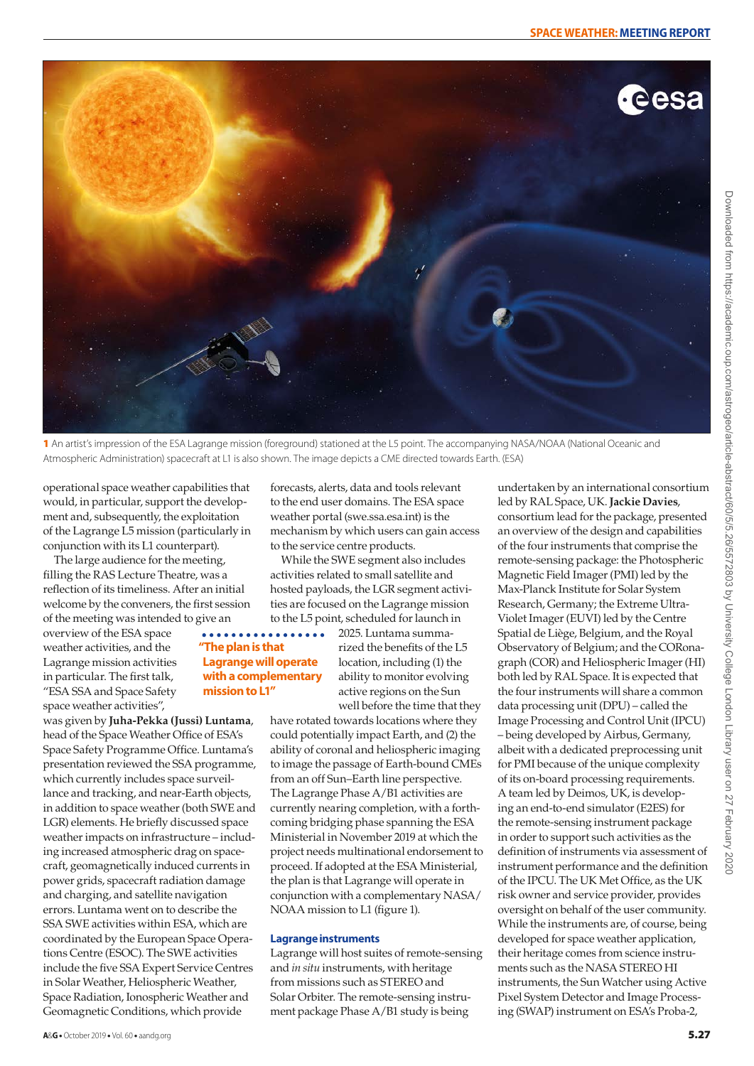

1 An artist's impression of the ESA Lagrange mission (foreground) stationed at the L5 point. The accompanying NASA/NOAA (National Oceanic and Atmospheric Administration) spacecraft at L1 is also shown. The image depicts a CME directed towards Earth. (ESA)

operational space weather capabilities that would, in particular, support the development and, subsequently, the exploitation of the Lagrange L5 mission (particularly in conjunction with its L1 counterpart).

The large audience for the meeting, filling the RAS Lecture Theatre, was a reflection of its timeliness. After an initial welcome by the conveners, the first session of the meeting was intended to give an

overview of the ESA space weather activities, and the Lagrange mission activities in particular. The first talk, "ESA SSA and Space Safety space weather activities",

was given by **Juha-Pekka (Jussi) Luntama**, head of the Space Weather Office of ESA's Space Safety Programme Office. Luntama's presentation reviewed the SSA programme, which currently includes space surveillance and tracking, and near-Earth objects, in addition to space weather (both SWE and LGR) elements. He briefly discussed space weather impacts on infrastructure – including increased atmospheric drag on spacecraft, geomagnetically induced currents in power grids, spacecraft radiation damage and charging, and satellite navigation errors. Luntama went on to describe the SSA SWE activities within ESA, which are coordinated by the European Space Operations Centre (ESOC). The SWE activities include the five SSA Expert Service Centres in Solar Weather, Heliospheric Weather, Space Radiation, Ionospheric Weather and Geomagnetic Conditions, which provide

forecasts, alerts, data and tools relevant to the end user domains. The ESA space weather portal [\(swe.ssa.esa.int\)](http://swe.ssa.esa.int) is the mechanism by which users can gain access to the service centre products.

While the SWE segment also includes activities related to small satellite and hosted payloads, the LGR segment activities are focused on the Lagrange mission to the L5 point, scheduled for launch in

#### $\frac{1}{2}$ ............ **"The plan is that Lagrange will operate with a complementary mission to L1"**

2025. Luntama summarized the benefits of the L5 location, including (1) the ability to monitor evolving active regions on the Sun well before the time that they

have rotated towards locations where they could potentially impact Earth, and (2) the ability of coronal and heliospheric imaging to image the passage of Earth-bound CMEs from an off Sun–Earth line perspective. The Lagrange Phase A/B1 activities are currently nearing completion, with a forthcoming bridging phase spanning the ESA Ministerial in November 2019 at which the project needs multinational endorsement to proceed. If adopted at the ESA Ministerial, the plan is that Lagrange will operate in conjunction with a complementary NASA/ NOAA mission to L1 (figure 1).

#### **Lagrange instruments**

Lagrange will host suites of remote-sensing and *in situ* instruments, with heritage from missions such as STEREO and Solar Orbiter. The remote-sensing instrument package Phase A/B1 study is being

undertaken by an international consortium led by RAL Space, UK. **Jackie Davies**, consortium lead for the package, presented an overview of the design and capabilities of the four instruments that comprise the remote-sensing package: the Photospheric Magnetic Field Imager (PMI) led by the Max-Planck Institute for Solar System Research, Germany; the Extreme Ultra-Violet Imager (EUVI) led by the Centre Spatial de Liège, Belgium, and the Royal Observatory of Belgium; and the CORonagraph (COR) and Heliospheric Imager (HI) both led by RAL Space. It is expected that the four instruments will share a common data processing unit (DPU) – called the Image Processing and Control Unit (IPCU) – being developed by Airbus, Germany, albeit with a dedicated preprocessing unit for PMI because of the unique complexity of its on-board processing requirements. A team led by Deimos, UK, is developing an end-to-end simulator (E2ES) for the remote-sensing instrument package in order to support such activities as the definition of instruments via assessment of instrument performance and the definition of the IPCU. The UK Met Office, as the UK risk owner and service provider, provides oversight on behalf of the user community. While the instruments are, of course, being developed for space weather application, their heritage comes from science instruments such as the NASA STEREO HI instruments, the Sun Watcher using Active Pixel System Detector and Image Processing (SWAP) instrument on ESA's Proba-2,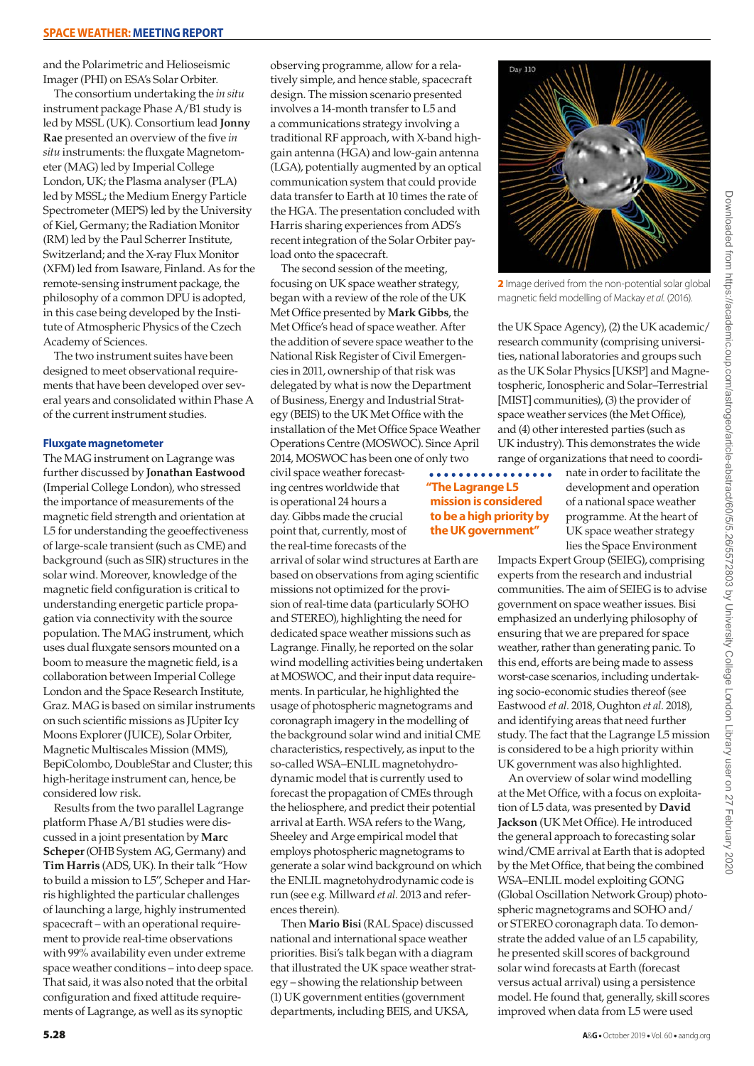and the Polarimetric and Helioseismic Imager (PHI) on ESA's Solar Orbiter.

The consortium undertaking the *in situ* instrument package Phase A/B1 study is led by MSSL (UK). Consortium lead **Jonny Rae** presented an overview of the five *in situ* instruments: the fluxgate Magnetometer (MAG) led by Imperial College London, UK; the Plasma analyser (PLA) led by MSSL; the Medium Energy Particle Spectrometer (MEPS) led by the University of Kiel, Germany; the Radiation Monitor (RM) led by the Paul Scherrer Institute, Switzerland; and the X-ray Flux Monitor (XFM) led from Isaware, Finland. As for the remote-sensing instrument package, the philosophy of a common DPU is adopted, in this case being developed by the Institute of Atmospheric Physics of the Czech Academy of Sciences.

The two instrument suites have been designed to meet observational requirements that have been developed over several years and consolidated within Phase A of the current instrument studies.

#### **Fluxgate magnetometer**

The MAG instrument on Lagrange was further discussed by **Jonathan Eastwood** (Imperial College London), who stressed the importance of measurements of the magnetic field strength and orientation at L5 for understanding the geoeffectiveness of large-scale transient (such as CME) and background (such as SIR) structures in the solar wind. Moreover, knowledge of the magnetic field configuration is critical to understanding energetic particle propagation via connectivity with the source population. The MAG instrument, which uses dual fluxgate sensors mounted on a boom to measure the magnetic field, is a collaboration between Imperial College London and the Space Research Institute, Graz. MAG is based on similar instruments on such scientific missions as JUpiter Icy Moons Explorer (JUICE), Solar Orbiter, Magnetic Multiscales Mission (MMS), BepiColombo, DoubleStar and Cluster; this high-heritage instrument can, hence, be considered low risk.

Results from the two parallel Lagrange platform Phase A/B1 studies were discussed in a joint presentation by **Marc Scheper** (OHB System AG, Germany) and **Tim Harris** (ADS, UK). In their talk "How to build a mission to L5", Scheper and Harris highlighted the particular challenges of launching a large, highly instrumented spacecraft – with an operational requirement to provide real-time observations with 99% availability even under extreme space weather conditions – into deep space. That said, it was also noted that the orbital configuration and fixed attitude requirements of Lagrange, as well as its synoptic

observing programme, allow for a relatively simple, and hence stable, spacecraft design. The mission scenario presented involves a 14-month transfer to L5 and a communications strategy involving a traditional RF approach, with X-band highgain antenna (HGA) and low-gain antenna (LGA), potentially augmented by an optical communication system that could provide data transfer to Earth at 10 times the rate of the HGA. The presentation concluded with Harris sharing experiences from ADS's recent integration of the Solar Orbiter payload onto the spacecraft.

The second session of the meeting, focusing on UK space weather strategy, began with a review of the role of the UK Met Office presented by **Mark Gibbs**, the Met Office's head of space weather. After the addition of severe space weather to the National Risk Register of Civil Emergencies in 2011, ownership of that risk was delegated by what is now the Department of Business, Energy and Industrial Strategy (BEIS) to the UK Met Office with the installation of the Met Office Space Weather Operations Centre (MOSWOC). Since April 2014, MOSWOC has been one of only two

civil space weather forecasting centres worldwide that is operational 24 hours a day. Gibbs made the crucial point that, currently, most of the real-time forecasts of the

arrival of solar wind structures at Earth are based on observations from aging scientific missions not optimized for the provision of real-time data (particularly SOHO and STEREO), highlighting the need for dedicated space weather missions such as Lagrange. Finally, he reported on the solar wind modelling activities being undertaken at MOSWOC, and their input data requirements. In particular, he highlighted the usage of photospheric magnetograms and coronagraph imagery in the modelling of the background solar wind and initial CME characteristics, respectively, as input to the so-called WSA–ENLIL magnetohydrodynamic model that is currently used to forecast the propagation of CMEs through the heliosphere, and predict their potential arrival at Earth. WSA refers to the Wang, Sheeley and Arge empirical model that employs photospheric magnetograms to generate a solar wind background on which the ENLIL magnetohydrodynamic code is run (see e.g. Millward *et al.* 2013 and references therein).

Then **Mario Bisi** (RAL Space) discussed national and international space weather priorities. Bisi's talk began with a diagram that illustrated the UK space weather strategy – showing the relationship between (1) UK government entities (government departments, including BEIS, and UKSA,



2 Image derived from the non-potential solar global magnetic field modelling of Mackay *et al.* (2016).

the UK Space Agency), (2) the UK academic/ research community (comprising universities, national laboratories and groups such as the UK Solar Physics [UKSP] and Magnetospheric, Ionospheric and Solar–Terrestrial [MIST] communities), (3) the provider of space weather services (the Met Office), and (4) other interested parties (such as UK industry). This demonstrates the wide range of organizations that need to coordi-

#### i a a **"The Lagrange L5 mission is considered to be a high priority by the UK government"**

nate in order to facilitate the development and operation of a national space weather programme. At the heart of UK space weather strategy lies the Space Environment

Impacts Expert Group (SEIEG), comprising experts from the research and industrial communities. The aim of SEIEG is to advise government on space weather issues. Bisi emphasized an underlying philosophy of ensuring that we are prepared for space weather, rather than generating panic. To this end, efforts are being made to assess worst-case scenarios, including undertaking socio-economic studies thereof (see Eastwood *et al.* 2018, Oughton *et al.* 2018), and identifying areas that need further study. The fact that the Lagrange L5 mission is considered to be a high priority within UK government was also highlighted.

An overview of solar wind modelling at the Met Office, with a focus on exploitation of L5 data, was presented by **David Jackson** (UK Met Office). He introduced the general approach to forecasting solar wind/CME arrival at Earth that is adopted by the Met Office, that being the combined WSA–ENLIL model exploiting GONG (Global Oscillation Network Group) photospheric magnetograms and SOHO and/ or STEREO coronagraph data. To demonstrate the added value of an L5 capability, he presented skill scores of background solar wind forecasts at Earth (forecast versus actual arrival) using a persistence model. He found that, generally, skill scores improved when data from L5 were used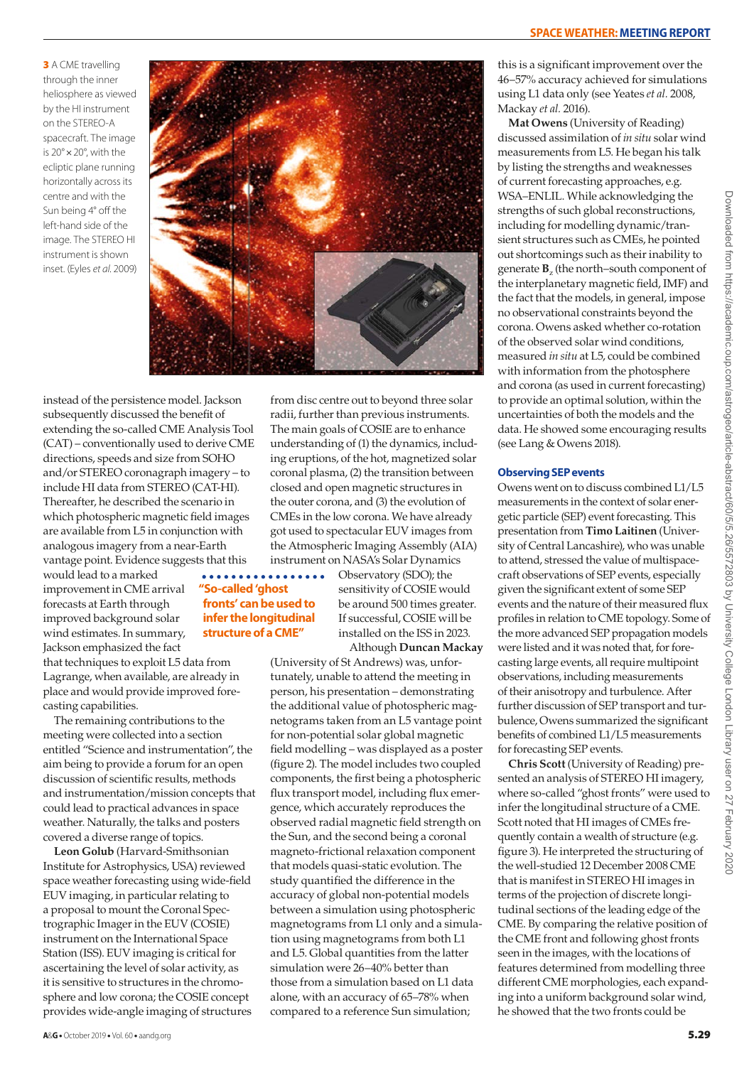**3** A CME travelling through the inner heliosphere as viewed by the HI instrument on the STEREO-A spacecraft. The image is 20°×20°, with the ecliptic plane running horizontally across its centre and with the Sun being 4° off the left-hand side of the image. The STEREO HI instrument is shown inset. (Eyles *et al.* 2009)



instead of the persistence model. Jackson subsequently discussed the benefit of extending the so-called CME Analysis Tool (CAT) – conventionally used to derive CME directions, speeds and size from SOHO and/or STEREO coronagraph imagery – to include HI data from STEREO (CAT-HI). Thereafter, he described the scenario in which photospheric magnetic field images are available from L5 in conjunction with analogous imagery from a near-Earth vantage point. Evidence suggests that this

would lead to a marked improvement in CME arrival forecasts at Earth through improved background solar wind estimates. In summary, Jackson emphasized the fact

that techniques to exploit L5 data from Lagrange, when available, are already in place and would provide improved forecasting capabilities.

The remaining contributions to the meeting were collected into a section entitled "Science and instrumentation", the aim being to provide a forum for an open discussion of scientific results, methods and instrumentation/mission concepts that could lead to practical advances in space weather. Naturally, the talks and posters covered a diverse range of topics.

**Leon Golub** (Harvard-Smithsonian Institute for Astrophysics, USA) reviewed space weather forecasting using wide-field EUV imaging, in particular relating to a proposal to mount the Coronal Spectrographic Imager in the EUV (COSIE) instrument on the International Space Station (ISS). EUV imaging is critical for ascertaining the level of solar activity, as it is sensitive to structures in the chromosphere and low corona; the COSIE concept provides wide-angle imaging of structures

from disc centre out to beyond three solar radii, further than previous instruments. The main goals of COSIE are to enhance understanding of (1) the dynamics, including eruptions, of the hot, magnetized solar coronal plasma, (2) the transition between closed and open magnetic structures in the outer corona, and (3) the evolution of CMEs in the low corona. We have already got used to spectacular EUV images from the Atmospheric Imaging Assembly (AIA) instrument on NASA's Solar Dynamics

. . . . . . . . . . . . . . . . . . **"So-called 'ghost fronts' can be used to infer the longitudinal structure of a CME"**

Observatory (SDO); the sensitivity of COSIE would be around 500 times greater. If successful, COSIE will be installed on the ISS in 2023. Although **Duncan Mackay**

(University of St Andrews) was, unfortunately, unable to attend the meeting in person, his presentation – demonstrating the additional value of photospheric magnetograms taken from an L5 vantage point for non-potential solar global magnetic field modelling – was displayed as a poster (figure 2). The model includes two coupled components, the first being a photospheric flux transport model, including flux emergence, which accurately reproduces the observed radial magnetic field strength on the Sun, and the second being a coronal magneto-frictional relaxation component that models quasi-static evolution. The study quantified the difference in the accuracy of global non-potential models between a simulation using photospheric magnetograms from L1 only and a simulation using magnetograms from both L1 and L5. Global quantities from the latter simulation were 26–40% better than those from a simulation based on L1 data alone, with an accuracy of 65–78% when compared to a reference Sun simulation;

this is a significant improvement over the 46–57% accuracy achieved for simulations using L1 data only (see Yeates *et al.* 2008, Mackay *et al.* 2016).

**Mat Owens** (University of Reading) discussed assimilation of *in situ* solar wind measurements from L5. He began his talk by listing the strengths and weaknesses of current forecasting approaches, e.g. WSA–ENLIL. While acknowledging the strengths of such global reconstructions, including for modelling dynamic/transient structures such as CMEs, he pointed out shortcomings such as their inability to generate **B**z (the north–south component of the interplanetary magnetic field, IMF) and the fact that the models, in general, impose no observational constraints beyond the corona. Owens asked whether co-rotation of the observed solar wind conditions, measured *in situ* at L5, could be combined with information from the photosphere and corona (as used in current forecasting) to provide an optimal solution, within the uncertainties of both the models and the data. He showed some encouraging results (see Lang & Owens 2018).

#### **Observing SEP events**

Owens went on to discuss combined L1/L5 measurements in the context of solar energetic particle (SEP) event forecasting. This presentation from **Timo Laitinen** (University of Central Lancashire), who was unable to attend, stressed the value of multispacecraft observations of SEP events, especially given the significant extent of some SEP events and the nature of their measured flux profiles in relation to CME topology. Some of the more advanced SEP propagation models were listed and it was noted that, for forecasting large events, all require multipoint observations, including measurements of their anisotropy and turbulence. After further discussion of SEP transport and turbulence, Owens summarized the significant benefits of combined L1/L5 measurements for forecasting SEP events.

**Chris Scott** (University of Reading) presented an analysis of STEREO HI imagery, where so-called "ghost fronts" were used to infer the longitudinal structure of a CME. Scott noted that HI images of CMEs frequently contain a wealth of structure (e.g. figure 3). He interpreted the structuring of the well-studied 12 December 2008 CME that is manifest in STEREO HI images in terms of the projection of discrete longitudinal sections of the leading edge of the CME. By comparing the relative position of the CME front and following ghost fronts seen in the images, with the locations of features determined from modelling three different CME morphologies, each expanding into a uniform background solar wind, he showed that the two fronts could be